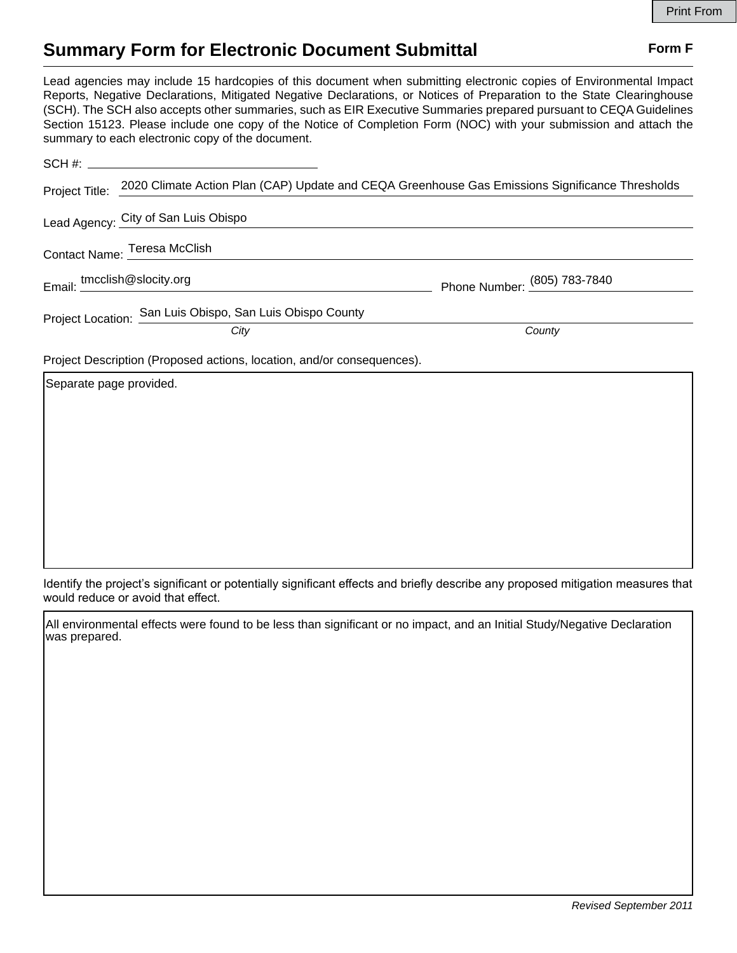## **Summary Form for Electronic Document Submittal Form F Form F**

Lead agencies may include 15 hardcopies of this document when submitting electronic copies of Environmental Impact Reports, Negative Declarations, Mitigated Negative Declarations, or Notices of Preparation to the State Clearinghouse (SCH). The SCH also accepts other summaries, such as EIR Executive Summaries prepared pursuant to CEQA Guidelines Section 15123. Please include one copy of the Notice of Completion Form (NOC) with your submission and attach the summary to each electronic copy of the document.

| Project Title:                                                         | 2020 Climate Action Plan (CAP) Update and CEQA Greenhouse Gas Emissions Significance Thresholds |                              |
|------------------------------------------------------------------------|-------------------------------------------------------------------------------------------------|------------------------------|
|                                                                        | Lead Agency: City of San Luis Obispo                                                            |                              |
|                                                                        | Contact Name: Teresa McClish                                                                    |                              |
| Email: tmcclish@slocity.org                                            |                                                                                                 | Phone Number: (805) 783-7840 |
|                                                                        | Project Location: San Luis Obispo, San Luis Obispo County<br>City                               | County                       |
| Project Description (Proposed actions, location, and/or consequences). |                                                                                                 |                              |
| Separate page provided.                                                |                                                                                                 |                              |

Identify the project's significant or potentially significant effects and briefly describe any proposed mitigation measures that would reduce or avoid that effect.

All environmental effects were found to be less than significant or no impact, and an Initial Study/Negative Declaration was prepared.